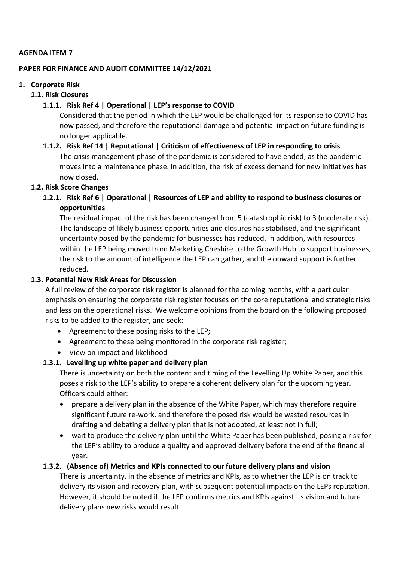#### **AGENDA ITEM 7**

#### **PAPER FOR FINANCE AND AUDIT COMMITTEE 14/12/2021**

#### **1. Corporate Risk**

#### **1.1. Risk Closures**

## **1.1.1. Risk Ref 4 | Operational | LEP's response to COVID**

Considered that the period in which the LEP would be challenged for its response to COVID has now passed, and therefore the reputational damage and potential impact on future funding is no longer applicable.

# **1.1.2. Risk Ref 14 | Reputational | Criticism of effectiveness of LEP in responding to crisis** The crisis management phase of the pandemic is considered to have ended, as the pandemic moves into a maintenance phase. In addition, the risk of excess demand for new initiatives has now closed.

## **1.2. Risk Score Changes**

**1.2.1. Risk Ref 6 | Operational | Resources of LEP and ability to respond to business closures or opportunities**

The residual impact of the risk has been changed from 5 (catastrophic risk) to 3 (moderate risk). The landscape of likely business opportunities and closures has stabilised, and the significant uncertainty posed by the pandemic for businesses has reduced. In addition, with resources within the LEP being moved from Marketing Cheshire to the Growth Hub to support businesses, the risk to the amount of intelligence the LEP can gather, and the onward support is further reduced.

## **1.3. Potential New Risk Areas for Discussion**

A full review of the corporate risk register is planned for the coming months, with a particular emphasis on ensuring the corporate risk register focuses on the core reputational and strategic risks and less on the operational risks. We welcome opinions from the board on the following proposed risks to be added to the register, and seek:

- Agreement to these posing risks to the LEP;
- Agreement to these being monitored in the corporate risk register;
- View on impact and likelihood

## **1.3.1. Levelling up white paper and delivery plan**

There is uncertainty on both the content and timing of the Levelling Up White Paper, and this poses a risk to the LEP's ability to prepare a coherent delivery plan for the upcoming year. Officers could either:

- prepare a delivery plan in the absence of the White Paper, which may therefore require significant future re-work, and therefore the posed risk would be wasted resources in drafting and debating a delivery plan that is not adopted, at least not in full;
- wait to produce the delivery plan until the White Paper has been published, posing a risk for the LEP's ability to produce a quality and approved delivery before the end of the financial year.

# **1.3.2. (Absence of) Metrics and KPIs connected to our future delivery plans and vision**

There is uncertainty, in the absence of metrics and KPIs, as to whether the LEP is on track to delivery its vision and recovery plan, with subsequent potential impacts on the LEPs reputation. However, it should be noted if the LEP confirms metrics and KPIs against its vision and future delivery plans new risks would result: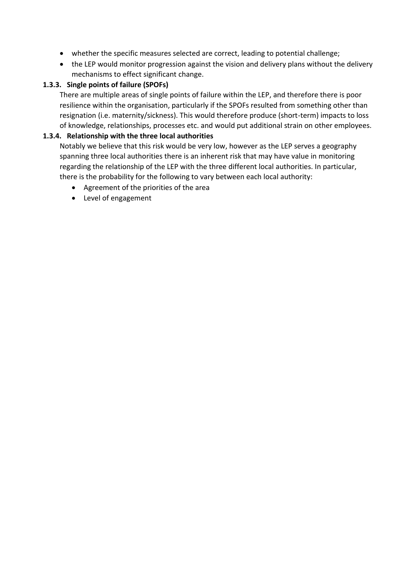- whether the specific measures selected are correct, leading to potential challenge;
- the LEP would monitor progression against the vision and delivery plans without the delivery mechanisms to effect significant change.

## **1.3.3. Single points of failure (SPOFs)**

There are multiple areas of single points of failure within the LEP, and therefore there is poor resilience within the organisation, particularly if the SPOFs resulted from something other than resignation (i.e. maternity/sickness). This would therefore produce (short-term) impacts to loss of knowledge, relationships, processes etc. and would put additional strain on other employees.

## **1.3.4. Relationship with the three local authorities**

Notably we believe that this risk would be very low, however as the LEP serves a geography spanning three local authorities there is an inherent risk that may have value in monitoring regarding the relationship of the LEP with the three different local authorities. In particular, there is the probability for the following to vary between each local authority:

- Agreement of the priorities of the area
- Level of engagement